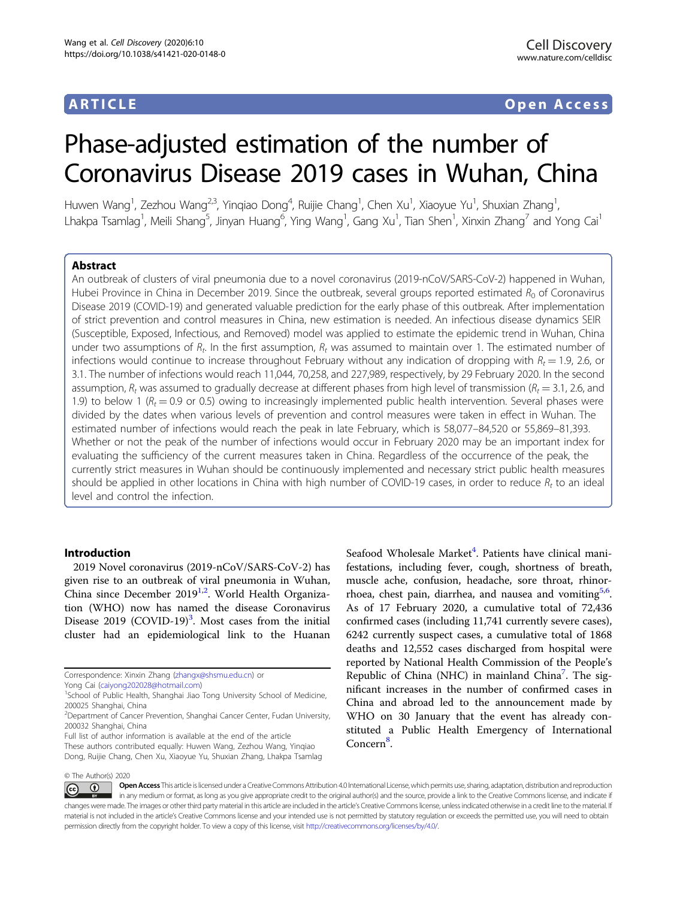# ARTICLE Open Access

# Phase-adjusted estimation of the number of Coronavirus Disease 2019 cases in Wuhan, China

Huwen Wang<sup>1</sup>, Zezhou Wang<sup>2,3</sup>, Yinqiao Dong<sup>4</sup>, Ruijie Chang<sup>1</sup>, Chen Xu<sup>1</sup>, Xiaoyue Yu<sup>1</sup>, Shuxian Zhang<sup>1</sup> , Lhakpa Tsamlag<sup>1</sup>, Meili Shang<sup>5</sup>, Jinyan Huang<sup>6</sup>, Ying Wang<sup>1</sup>, Gang Xu<sup>1</sup>, Tian Shen<sup>1</sup>, Xinxin Zhang<sup>7</sup> and Yong Cai<sup>1</sup>

# Abstract

An outbreak of clusters of viral pneumonia due to a novel coronavirus (2019-nCoV/SARS-CoV-2) happened in Wuhan, Hubei Province in China in December 2019. Since the outbreak, several groups reported estimated  $R_0$  of Coronavirus Disease 2019 (COVID-19) and generated valuable prediction for the early phase of this outbreak. After implementation of strict prevention and control measures in China, new estimation is needed. An infectious disease dynamics SEIR (Susceptible, Exposed, Infectious, and Removed) model was applied to estimate the epidemic trend in Wuhan, China under two assumptions of  $R_t$ . In the first assumption,  $R_t$  was assumed to maintain over 1. The estimated number of infections would continue to increase throughout February without any indication of dropping with  $R<sub>r</sub> = 1.9, 2.6$ , or 3.1. The number of infections would reach 11,044, 70,258, and 227,989, respectively, by 29 February 2020. In the second assumption,  $R_t$  was assumed to gradually decrease at different phases from high level of transmission ( $R_t = 3.1$ , 2.6, and 1.9) to below 1 ( $R_t$  = 0.9 or 0.5) owing to increasingly implemented public health intervention. Several phases were divided by the dates when various levels of prevention and control measures were taken in effect in Wuhan. The estimated number of infections would reach the peak in late February, which is 58,077–84,520 or 55,869–81,393. Whether or not the peak of the number of infections would occur in February 2020 may be an important index for evaluating the sufficiency of the current measures taken in China. Regardless of the occurrence of the peak, the currently strict measures in Wuhan should be continuously implemented and necessary strict public health measures should be applied in other locations in China with high number of COVID-19 cases, in order to reduce  $R_t$  to an ideal level and control the infection.

# Introduction

2019 Novel coronavirus (2019-nCoV/SARS-CoV-2) has given rise to an outbreak of viral pneumonia in Wuhan, China since December 2019<sup>[1,2](#page-6-0)</sup>. World Health Organization (WHO) now has named the disease Coronavirus Disease 2019 (COVID-19)<sup>[3](#page-6-0)</sup>. Most cases from the initial cluster had an epidemiological link to the Huanan

Seafood Wholesale Market<sup>[4](#page-6-0)</sup>. Patients have clinical manifestations, including fever, cough, shortness of breath, muscle ache, confusion, headache, sore throat, rhinor-rhoea, chest pain, diarrhea, and nausea and vomiting<sup>[5](#page-6-0),[6](#page-6-0)</sup>. As of 17 February 2020, a cumulative total of 72,436 confirmed cases (including 11,741 currently severe cases), 6242 currently suspect cases, a cumulative total of 1868 deaths and 12,552 cases discharged from hospital were reported by National Health Commission of the People's Republic of China (NHC) in mainland China<sup>[7](#page-6-0)</sup>. The significant increases in the number of confirmed cases in China and abroad led to the announcement made by WHO on 30 January that the event has already constituted a Public Health Emergency of International Concern<sup>[8](#page-6-0)</sup>.

Open Access This article is licensed under a Creative Commons Attribution 4.0 International License, which permits use, sharing, adaptation, distribution and reproduction  $\bigcirc$  $\left[{\rm (cc)}\right]$ in any medium or format, as long as you give appropriate credit to the original author(s) and the source, provide a link to the Creative Commons license, and indicate if changes were made. The images or other third party material in this article are included in the article's Creative Commons license, unless indicated otherwise in a credit line to the material. If material is not included in the article's Creative Commons license and your intended use is not permitted by statutory regulation or exceeds the permitted use, you will need to obtain permission directly from the copyright holder. To view a copy of this license, visit <http://creativecommons.org/licenses/by/4.0/>.

Correspondence: Xinxin Zhang [\(zhangx@shsmu.edu.cn\)](mailto:zhangx@shsmu.edu.cn) or

Yong Cai [\(caiyong202028@hotmail.com](mailto:caiyong202028@hotmail.com)) <sup>1</sup>

School of Public Health, Shanghai Jiao Tong University School of Medicine, 200025 Shanghai, China

<sup>2</sup> Department of Cancer Prevention, Shanghai Cancer Center, Fudan University, 200032 Shanghai, China

Full list of author information is available at the end of the article These authors contributed equally: Huwen Wang, Zezhou Wang, Yinqiao Dong, Ruijie Chang, Chen Xu, Xiaoyue Yu, Shuxian Zhang, Lhakpa Tsamlag

<sup>©</sup> The Author(s) 2020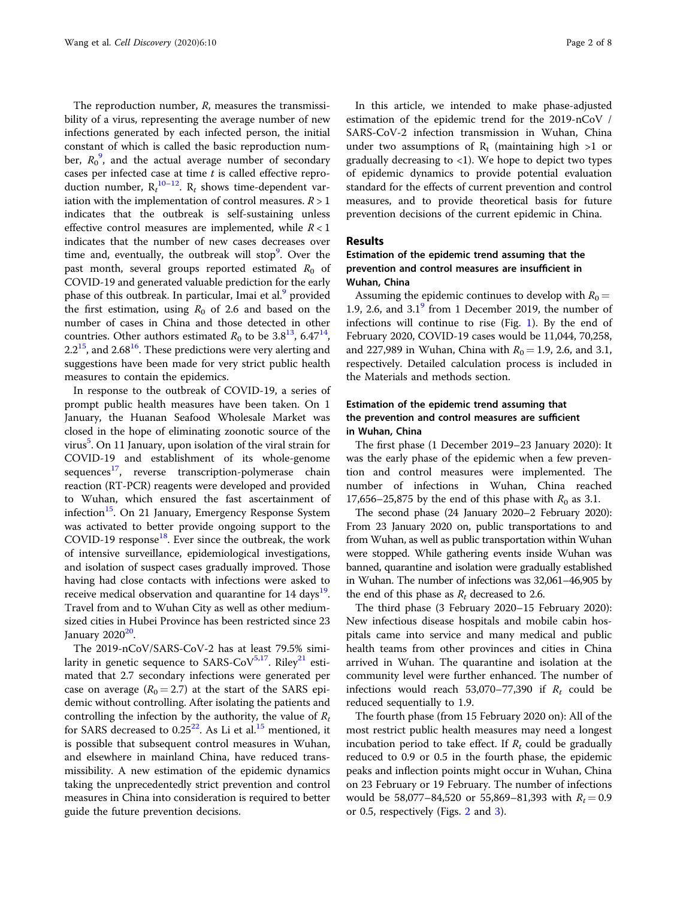The reproduction number,  $R$ , measures the transmissibility of a virus, representing the average number of new infections generated by each infected person, the initial constant of which is called the basic reproduction number,  ${R_0}^9$  ${R_0}^9$ , and the actual average number of secondary cases per infected case at time  $t$  is called effective reproduction number,  $R_t^{10-12}$  $R_t^{10-12}$  $R_t^{10-12}$ .  $R_t$  shows time-dependent variation with the implementation of control measures.  $R > 1$ indicates that the outbreak is self-sustaining unless effective control measures are implemented, while  $R < 1$ indicates that the number of new cases decreases over time and, eventually, the outbreak will stop<sup>[9](#page-6-0)</sup>. Over the past month, several groups reported estimated  $R_0$  of COVID-19 and generated valuable prediction for the early phase of this outbreak. In particular, Imai et al.<sup>[9](#page-6-0)</sup> provided the first estimation, using  $R_0$  of 2.6 and based on the number of cases in China and those detected in other countries. Other authors estimated  $R_0$  to be 3.8<sup>13</sup>, 6.47<sup>14</sup>,  $2.2^{15}$ , and  $2.68^{16}$  $2.68^{16}$  $2.68^{16}$ . These predictions were very alerting and suggestions have been made for very strict public health measures to contain the epidemics.

In response to the outbreak of COVID-19, a series of prompt public health measures have been taken. On 1 January, the Huanan Seafood Wholesale Market was closed in the hope of eliminating zoonotic source of the virus<sup>[5](#page-6-0)</sup>. On 11 January, upon isolation of the viral strain for COVID-19 and establishment of its whole-genome sequences $^{17}$ , reverse transcription-polymerase chain reaction (RT-PCR) reagents were developed and provided to Wuhan, which ensured the fast ascertainment of infection<sup>15</sup>. On 21 January, Emergency Response System was activated to better provide ongoing support to the COVID-19 response $18$ . Ever since the outbreak, the work of intensive surveillance, epidemiological investigations, and isolation of suspect cases gradually improved. Those having had close contacts with infections were asked to receive medical observation and quarantine for  $14 \text{ days}^{19}$  $14 \text{ days}^{19}$  $14 \text{ days}^{19}$ . Travel from and to Wuhan City as well as other mediumsized cities in Hubei Province has been restricted since 23 January  $2020^{20}$  $2020^{20}$  $2020^{20}$ .

The 2019-nCoV/SARS-CoV-2 has at least 79.5% simi-larity in genetic sequence to SARS-CoV<sup>[5](#page-6-0),[17](#page-6-0)</sup>. Riley<sup>[21](#page-6-0)</sup> estimated that 2.7 secondary infections were generated per case on average  $(R_0 = 2.7)$  at the start of the SARS epidemic without controlling. After isolating the patients and controlling the infection by the authority, the value of  $R_t$ for SARS decreased to  $0.25^{22}$ . As Li et al.<sup>[15](#page-6-0)</sup> mentioned, it is possible that subsequent control measures in Wuhan, and elsewhere in mainland China, have reduced transmissibility. A new estimation of the epidemic dynamics taking the unprecedentedly strict prevention and control measures in China into consideration is required to better guide the future prevention decisions.

In this article, we intended to make phase-adjusted estimation of the epidemic trend for the 2019-nCoV / SARS-CoV-2 infection transmission in Wuhan, China under two assumptions of  $R_t$  (maintaining high  $>1$  or gradually decreasing to <1). We hope to depict two types of epidemic dynamics to provide potential evaluation standard for the effects of current prevention and control measures, and to provide theoretical basis for future prevention decisions of the current epidemic in China.

#### Results

# Estimation of the epidemic trend assuming that the prevention and control measures are insufficient in Wuhan, China

Assuming the epidemic continues to develop with  $R_0 =$ 1.[9](#page-6-0), 2.6, and  $3.1<sup>9</sup>$  from 1 December 2019, the number of infections will continue to rise (Fig. [1](#page-2-0)). By the end of February 2020, COVID-19 cases would be 11,044, 70,258, and 227,989 in Wuhan, China with  $R_0 = 1.9$ , 2.6, and 3.1, respectively. Detailed calculation process is included in the Materials and methods section.

# Estimation of the epidemic trend assuming that the prevention and control measures are sufficient in Wuhan, China

The first phase (1 December 2019–23 January 2020): It was the early phase of the epidemic when a few prevention and control measures were implemented. The number of infections in Wuhan, China reached 17,656–25,875 by the end of this phase with  $R_0$  as 3.1.

The second phase (24 January 2020–2 February 2020): From 23 January 2020 on, public transportations to and from Wuhan, as well as public transportation within Wuhan were stopped. While gathering events inside Wuhan was banned, quarantine and isolation were gradually established in Wuhan. The number of infections was 32,061–46,905 by the end of this phase as  $R_t$  decreased to 2.6.

The third phase (3 February 2020–15 February 2020): New infectious disease hospitals and mobile cabin hospitals came into service and many medical and public health teams from other provinces and cities in China arrived in Wuhan. The quarantine and isolation at the community level were further enhanced. The number of infections would reach 53,070-77,390 if  $R_t$  could be reduced sequentially to 1.9.

The fourth phase (from 15 February 2020 on): All of the most restrict public health measures may need a longest incubation period to take effect. If  $R_t$  could be gradually reduced to 0.9 or 0.5 in the fourth phase, the epidemic peaks and inflection points might occur in Wuhan, China on 23 February or 19 February. The number of infections would be 58,077–84,520 or 55,869–81,393 with  $R_t = 0.9$ or 0.5, respectively (Figs. [2](#page-2-0) and [3](#page-3-0)).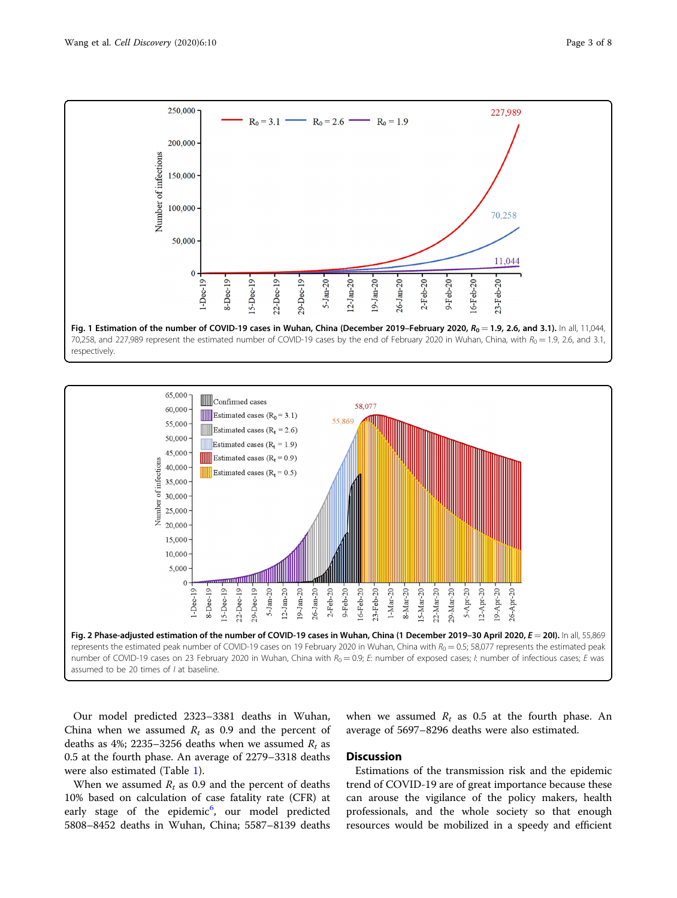<span id="page-2-0"></span>



Our model predicted 2323–3381 deaths in Wuhan, China when we assumed  $R_t$  as 0.9 and the percent of deaths as 4%; 2235–3256 deaths when we assumed  $R_t$  as 0.5 at the fourth phase. An average of 2279–3318 deaths were also estimated (Table [1\)](#page-3-0).

When we assumed  $R_t$  as 0.9 and the percent of deaths 10% based on calculation of case fatality rate (CFR) at early stage of the epidemic<sup>[6](#page-6-0)</sup>, our model predicted 5808–8452 deaths in Wuhan, China; 5587–8139 deaths when we assumed  $R_t$  as 0.5 at the fourth phase. An average of 5697–8296 deaths were also estimated.

# **Discussion**

Estimations of the transmission risk and the epidemic trend of COVID-19 are of great importance because these can arouse the vigilance of the policy makers, health professionals, and the whole society so that enough resources would be mobilized in a speedy and efficient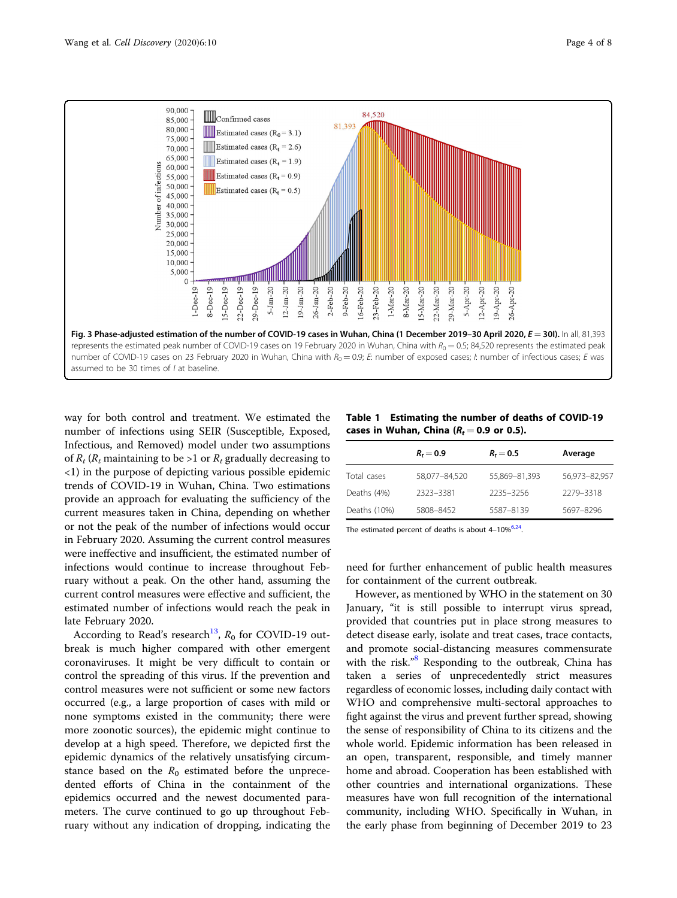<span id="page-3-0"></span>

way for both control and treatment. We estimated the number of infections using SEIR (Susceptible, Exposed, Infectious, and Removed) model under two assumptions of  $R_t$  ( $R_t$  maintaining to be >1 or  $R_t$  gradually decreasing to <1) in the purpose of depicting various possible epidemic trends of COVID-19 in Wuhan, China. Two estimations provide an approach for evaluating the sufficiency of the current measures taken in China, depending on whether or not the peak of the number of infections would occur in February 2020. Assuming the current control measures were ineffective and insufficient, the estimated number of infections would continue to increase throughout February without a peak. On the other hand, assuming the current control measures were effective and sufficient, the estimated number of infections would reach the peak in late February 2020.

According to Read's research<sup>[13](#page-6-0)</sup>,  $R_0$  for COVID-19 outbreak is much higher compared with other emergent coronaviruses. It might be very difficult to contain or control the spreading of this virus. If the prevention and control measures were not sufficient or some new factors occurred (e.g., a large proportion of cases with mild or none symptoms existed in the community; there were more zoonotic sources), the epidemic might continue to develop at a high speed. Therefore, we depicted first the epidemic dynamics of the relatively unsatisfying circumstance based on the  $R_0$  estimated before the unprecedented efforts of China in the containment of the epidemics occurred and the newest documented parameters. The curve continued to go up throughout February without any indication of dropping, indicating the

Table 1 Estimating the number of deaths of COVID-19 cases in Wuhan, China ( $R_t = 0.9$  or 0.5).

|              | $R_t = 0.9$   | $R_t = 0.5$   | Average       |
|--------------|---------------|---------------|---------------|
| Total cases  | 58,077-84,520 | 55,869-81,393 | 56,973-82,957 |
| Deaths (4%)  | 2323-3381     | 2235-3256     | 2279-3318     |
| Deaths (10%) | 5808-8452     | 5587-8139     | 5697-8296     |

The estimated percent of deaths is about  $4-10\%^{6,24}$ .

need for further enhancement of public health measures for containment of the current outbreak.

However, as mentioned by WHO in the statement on 30 January, "it is still possible to interrupt virus spread, provided that countries put in place strong measures to detect disease early, isolate and treat cases, trace contacts, and promote social-distancing measures commensurate with the risk." [8](#page-6-0) Responding to the outbreak, China has taken a series of unprecedentedly strict measures regardless of economic losses, including daily contact with WHO and comprehensive multi-sectoral approaches to fight against the virus and prevent further spread, showing the sense of responsibility of China to its citizens and the whole world. Epidemic information has been released in an open, transparent, responsible, and timely manner home and abroad. Cooperation has been established with other countries and international organizations. These measures have won full recognition of the international community, including WHO. Specifically in Wuhan, in the early phase from beginning of December 2019 to 23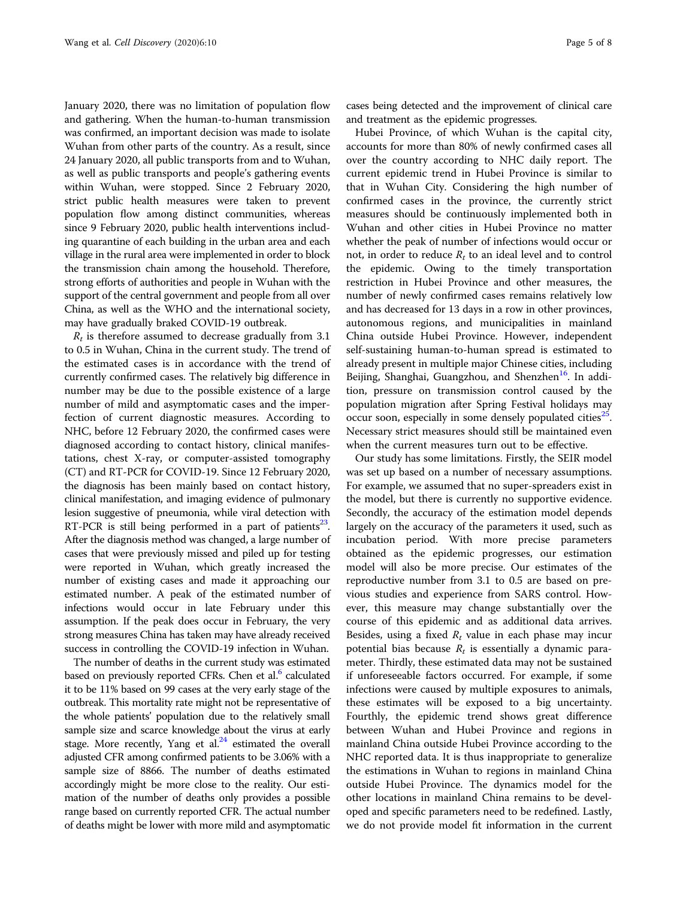January 2020, there was no limitation of population flow and gathering. When the human-to-human transmission was confirmed, an important decision was made to isolate Wuhan from other parts of the country. As a result, since 24 January 2020, all public transports from and to Wuhan, as well as public transports and people's gathering events within Wuhan, were stopped. Since 2 February 2020, strict public health measures were taken to prevent population flow among distinct communities, whereas since 9 February 2020, public health interventions including quarantine of each building in the urban area and each village in the rural area were implemented in order to block the transmission chain among the household. Therefore, strong efforts of authorities and people in Wuhan with the support of the central government and people from all over China, as well as the WHO and the international society, may have gradually braked COVID-19 outbreak.

 $R_t$  is therefore assumed to decrease gradually from 3.1 to 0.5 in Wuhan, China in the current study. The trend of the estimated cases is in accordance with the trend of currently confirmed cases. The relatively big difference in number may be due to the possible existence of a large number of mild and asymptomatic cases and the imperfection of current diagnostic measures. According to NHC, before 12 February 2020, the confirmed cases were diagnosed according to contact history, clinical manifestations, chest X-ray, or computer-assisted tomography (CT) and RT-PCR for COVID-19. Since 12 February 2020, the diagnosis has been mainly based on contact history, clinical manifestation, and imaging evidence of pulmonary lesion suggestive of pneumonia, while viral detection with RT-PCR is still being performed in a part of patients<sup>23</sup>. After the diagnosis method was changed, a large number of cases that were previously missed and piled up for testing were reported in Wuhan, which greatly increased the number of existing cases and made it approaching our estimated number. A peak of the estimated number of infections would occur in late February under this assumption. If the peak does occur in February, the very strong measures China has taken may have already received success in controlling the COVID-19 infection in Wuhan.

The number of deaths in the current study was estimated based on previously reported CFRs. Chen et al.<sup>[6](#page-6-0)</sup> calculated it to be 11% based on 99 cases at the very early stage of the outbreak. This mortality rate might not be representative of the whole patients' population due to the relatively small sample size and scarce knowledge about the virus at early stage. More recently, Yang et al. $^{24}$  estimated the overall adjusted CFR among confirmed patients to be 3.06% with a sample size of 8866. The number of deaths estimated accordingly might be more close to the reality. Our estimation of the number of deaths only provides a possible range based on currently reported CFR. The actual number of deaths might be lower with more mild and asymptomatic

cases being detected and the improvement of clinical care and treatment as the epidemic progresses.

Hubei Province, of which Wuhan is the capital city, accounts for more than 80% of newly confirmed cases all over the country according to NHC daily report. The current epidemic trend in Hubei Province is similar to that in Wuhan City. Considering the high number of confirmed cases in the province, the currently strict measures should be continuously implemented both in Wuhan and other cities in Hubei Province no matter whether the peak of number of infections would occur or not, in order to reduce  $R_t$  to an ideal level and to control the epidemic. Owing to the timely transportation restriction in Hubei Province and other measures, the number of newly confirmed cases remains relatively low and has decreased for 13 days in a row in other provinces, autonomous regions, and municipalities in mainland China outside Hubei Province. However, independent self-sustaining human-to-human spread is estimated to already present in multiple major Chinese cities, including Beijing, Shanghai, Guangzhou, and Shenzhen<sup>[16](#page-6-0)</sup>. In addition, pressure on transmission control caused by the population migration after Spring Festival holidays may occur soon, especially in some densely populated cities $25$ . Necessary strict measures should still be maintained even when the current measures turn out to be effective.

Our study has some limitations. Firstly, the SEIR model was set up based on a number of necessary assumptions. For example, we assumed that no super-spreaders exist in the model, but there is currently no supportive evidence. Secondly, the accuracy of the estimation model depends largely on the accuracy of the parameters it used, such as incubation period. With more precise parameters obtained as the epidemic progresses, our estimation model will also be more precise. Our estimates of the reproductive number from 3.1 to 0.5 are based on previous studies and experience from SARS control. However, this measure may change substantially over the course of this epidemic and as additional data arrives. Besides, using a fixed  $R_t$  value in each phase may incur potential bias because  $R_t$  is essentially a dynamic parameter. Thirdly, these estimated data may not be sustained if unforeseeable factors occurred. For example, if some infections were caused by multiple exposures to animals, these estimates will be exposed to a big uncertainty. Fourthly, the epidemic trend shows great difference between Wuhan and Hubei Province and regions in mainland China outside Hubei Province according to the NHC reported data. It is thus inappropriate to generalize the estimations in Wuhan to regions in mainland China outside Hubei Province. The dynamics model for the other locations in mainland China remains to be developed and specific parameters need to be redefined. Lastly, we do not provide model fit information in the current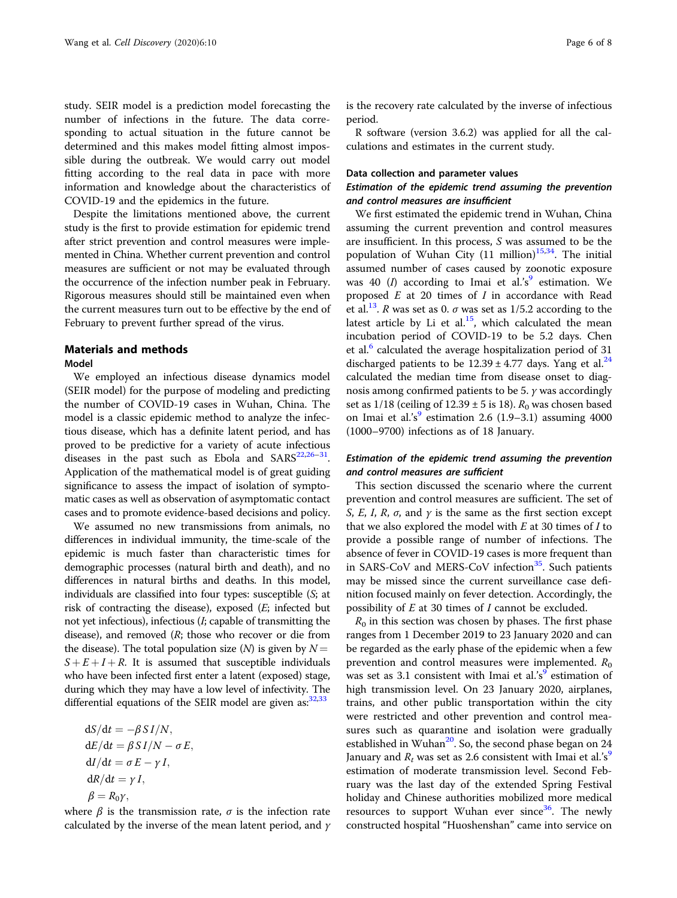study. SEIR model is a prediction model forecasting the number of infections in the future. The data corresponding to actual situation in the future cannot be determined and this makes model fitting almost impossible during the outbreak. We would carry out model fitting according to the real data in pace with more information and knowledge about the characteristics of COVID-19 and the epidemics in the future.

Despite the limitations mentioned above, the current study is the first to provide estimation for epidemic trend after strict prevention and control measures were implemented in China. Whether current prevention and control measures are sufficient or not may be evaluated through the occurrence of the infection number peak in February. Rigorous measures should still be maintained even when the current measures turn out to be effective by the end of February to prevent further spread of the virus.

# Materials and methods

#### Model

We employed an infectious disease dynamics model (SEIR model) for the purpose of modeling and predicting the number of COVID-19 cases in Wuhan, China. The model is a classic epidemic method to analyze the infectious disease, which has a definite latent period, and has proved to be predictive for a variety of acute infectious diseases in the past such as Ebola and  $SARS^{22,26-31}$  $SARS^{22,26-31}$  $SARS^{22,26-31}$  $SARS^{22,26-31}$  $SARS^{22,26-31}$  $SARS^{22,26-31}$ . Application of the mathematical model is of great guiding significance to assess the impact of isolation of symptomatic cases as well as observation of asymptomatic contact cases and to promote evidence-based decisions and policy.

We assumed no new transmissions from animals, no differences in individual immunity, the time-scale of the epidemic is much faster than characteristic times for demographic processes (natural birth and death), and no differences in natural births and deaths. In this model, individuals are classified into four types: susceptible (S; at risk of contracting the disease), exposed (E; infected but not yet infectious), infectious (I; capable of transmitting the disease), and removed  $(R;$  those who recover or die from the disease). The total population size  $(N)$  is given by  $N =$  $S + E + I + R$ . It is assumed that susceptible individuals who have been infected first enter a latent (exposed) stage, during which they may have a low level of infectivity. The differential equations of the SEIR model are given as: $32,33$ 

$$
dS/dt = -\beta SI/N,
$$
  
\n
$$
dE/dt = \beta SI/N - \sigma E,
$$
  
\n
$$
dI/dt = \sigma E - \gamma I,
$$
  
\n
$$
dR/dt = \gamma I,
$$
  
\n
$$
\beta = R_0 \gamma,
$$

where  $\beta$  is the transmission rate,  $\sigma$  is the infection rate calculated by the inverse of the mean latent period, and  $\gamma$  is the recovery rate calculated by the inverse of infectious period.

R software (version 3.6.2) was applied for all the calculations and estimates in the current study.

### Data collection and parameter values

# Estimation of the epidemic trend assuming the prevention and control measures are insufficient

We first estimated the epidemic trend in Wuhan, China assuming the current prevention and control measures are insufficient. In this process, S was assumed to be the population of Wuhan City  $(11 \text{ million})^{15,34}$  $(11 \text{ million})^{15,34}$  $(11 \text{ million})^{15,34}$ . The initial assumed number of cases caused by zoonotic exposure was 40  $(I)$  according to Imai et al.'s<sup>[9](#page-6-0)</sup> estimation. We proposed  $E$  at 20 times of  $I$  in accordance with Read et al.<sup>13</sup>. R was set as 0.  $\sigma$  was set as 1/5.2 according to the latest article by Li et al.<sup>15</sup>, which calculated the mean incubation period of COVID-19 to be 5.2 days. Chen et al.<sup>[6](#page-6-0)</sup> calculated the average hospitalization period of 31 discharged patients to be  $12.39 \pm 4.77$  days. Yang et al.<sup>[24](#page-6-0)</sup> calculated the median time from disease onset to diagnosis among confirmed patients to be 5. γ was accordingly set as  $1/18$  (ceiling of  $12.39 \pm 5$  is 18).  $R_0$  was chosen based on Imai et al.'s<sup>[9](#page-6-0)</sup> estimation 2.6 (1.9-3.1) assuming 4000 (1000–9700) infections as of 18 January.

# Estimation of the epidemic trend assuming the prevention and control measures are sufficient

This section discussed the scenario where the current prevention and control measures are sufficient. The set of S, E, I, R,  $\sigma$ , and  $\gamma$  is the same as the first section except that we also explored the model with  $E$  at 30 times of  $I$  to provide a possible range of number of infections. The absence of fever in COVID-19 cases is more frequent than in SARS-CoV and MERS-CoV infection<sup>[35](#page-7-0)</sup>. Such patients may be missed since the current surveillance case definition focused mainly on fever detection. Accordingly, the possibility of  $E$  at 30 times of  $I$  cannot be excluded.

 $R_0$  in this section was chosen by phases. The first phase ranges from 1 December 2019 to 23 January 2020 and can be regarded as the early phase of the epidemic when a few prevention and control measures were implemented.  $R_0$ was set as 3.1 consistent with Imai et al.'s $9$  estimation of high transmission level. On 23 January 2020, airplanes, trains, and other public transportation within the city were restricted and other prevention and control measures such as quarantine and isolation were gradually established in Wuhan<sup>[20](#page-6-0)</sup>. So, the second phase began on  $24$ January and  $R_t$  was set as 2.6 consistent with Imai et al.'s<sup>[9](#page-6-0)</sup> estimation of moderate transmission level. Second February was the last day of the extended Spring Festival holiday and Chinese authorities mobilized more medical resources to support Wuhan ever since<sup>36</sup>. The newly constructed hospital "Huoshenshan" came into service on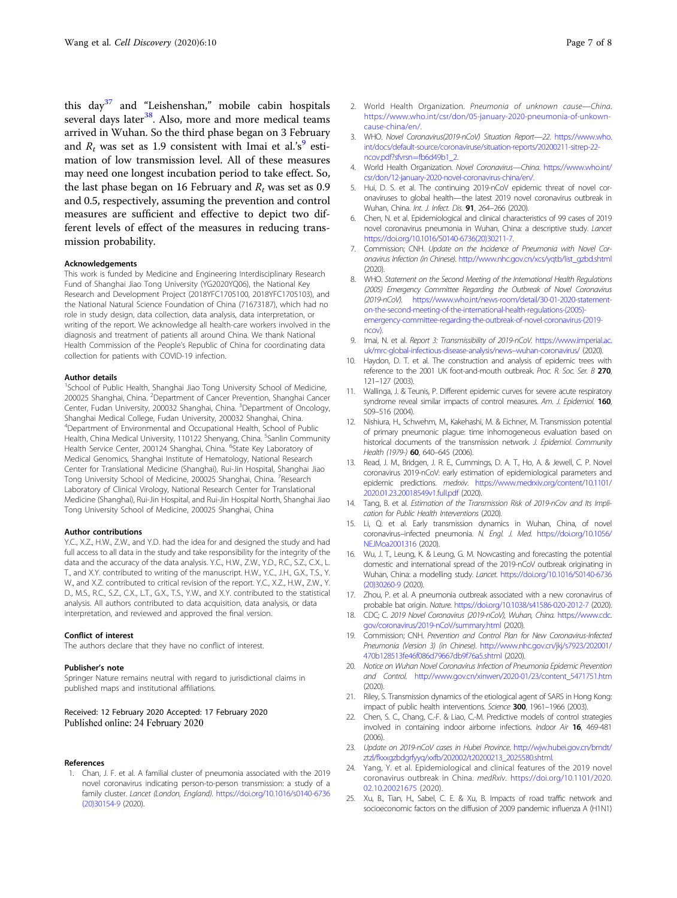<span id="page-6-0"></span>this day $37$  and "Leishenshan," mobile cabin hospitals several days later<sup>[38](#page-7-0)</sup>. Also, more and more medical teams arrived in Wuhan. So the third phase began on 3 February and  $R_t$  was set as 1.9 consistent with Imai et al.'s<sup>9</sup> estimation of low transmission level. All of these measures may need one longest incubation period to take effect. So, the last phase began on 16 February and  $R_t$  was set as 0.9 and 0.5, respectively, assuming the prevention and control measures are sufficient and effective to depict two different levels of effect of the measures in reducing transmission probability.

#### Acknowledgements

This work is funded by Medicine and Engineering Interdisciplinary Research Fund of Shanghai Jiao Tong University (YG2020YQ06), the National Key Research and Development Project (2018YFC1705100, 2018YFC1705103), and the National Natural Science Foundation of China (71673187), which had no role in study design, data collection, data analysis, data interpretation, or writing of the report. We acknowledge all health-care workers involved in the diagnosis and treatment of patients all around China. We thank National Health Commission of the People's Republic of China for coordinating data collection for patients with COVID-19 infection.

#### Author details

<sup>1</sup>School of Public Health, Shanghai Jiao Tong University School of Medicine, 200025 Shanghai, China. <sup>2</sup>Department of Cancer Prevention, Shanghai Cancer Center, Fudan University, 200032 Shanghai, China. <sup>3</sup>Department of Oncology, Shanghai Medical College, Fudan University, 200032 Shanghai, China. 4 Department of Environmental and Occupational Health, School of Public Health, China Medical University, 110122 Shenyang, China. <sup>5</sup>Sanlin Community Health Service Center, 200124 Shanghai, China. <sup>6</sup>State Key Laboratory of Medical Genomics, Shanghai Institute of Hematology, National Research Center for Translational Medicine (Shanghai), Rui-Jin Hospital, Shanghai Jiao Tong University School of Medicine, 200025 Shanghai, China. <sup>7</sup>Research Laboratory of Clinical Virology, National Research Center for Translational Medicine (Shanghai), Rui-Jin Hospital, and Rui-Jin Hospital North, Shanghai Jiao Tong University School of Medicine, 200025 Shanghai, China

#### Author contributions

Y.C., X.Z., H.W., Z.W., and Y.D. had the idea for and designed the study and had full access to all data in the study and take responsibility for the integrity of the data and the accuracy of the data analysis. Y.C., H.W., Z.W., Y.D., R.C., S.Z., C.X., L. T., and X.Y. contributed to writing of the manuscript. H.W., Y.C., J.H., G.X., T.S., Y. W., and X.Z. contributed to critical revision of the report. Y.C., X.Z., H.W., Z.W., Y. D., M.S., R.C., S.Z., C.X., L.T., G.X., T.S., Y.W., and X.Y. contributed to the statistical analysis. All authors contributed to data acquisition, data analysis, or data interpretation, and reviewed and approved the final version.

#### Conflict of interest

The authors declare that they have no conflict of interest.

#### Publisher's note

Springer Nature remains neutral with regard to jurisdictional claims in published maps and institutional affiliations.

#### Received: 12 February 2020 Accepted: 17 February 2020 Published online: 24 February 2020

#### References

1. Chan, J. F. et al. A familial cluster of pneumonia associated with the 2019 novel coronavirus indicating person-to-person transmission: a study of a family cluster. Lancet (London, England). [https://doi.org/10.1016/s0140-6736](https://doi.org/10.1016/s0140-6736(20)30154-9) [\(20\)30154-9](https://doi.org/10.1016/s0140-6736(20)30154-9) (2020).

- 2. World Health Organization. Pneumonia of unknown cause—China. [https://www.who.int/csr/don/05-january-2020-pneumonia-of-unkown](https://www.who.int/csr/don/05-january-2020-pneumonia-of-unkown-cause-china/en/)[cause-china/en/.](https://www.who.int/csr/don/05-january-2020-pneumonia-of-unkown-cause-china/en/)
- 3. WHO. Novel Coronavirus(2019-nCoV) Situation Report—22. [https://www.who.](https://www.who.int/docs/default-source/coronaviruse/situation-reports/20200211-sitrep-22-ncov.pdf?sfvrsn=fb6d49b1_2) [int/docs/default-source/coronaviruse/situation-reports/20200211-sitrep-22](https://www.who.int/docs/default-source/coronaviruse/situation-reports/20200211-sitrep-22-ncov.pdf?sfvrsn=fb6d49b1_2) [ncov.pdf?sfvrsn](https://www.who.int/docs/default-source/coronaviruse/situation-reports/20200211-sitrep-22-ncov.pdf?sfvrsn=fb6d49b1_2)=fb6d49b1\_2.
- 4. World Health Organization. Novel Coronavirus—China. [https://www.who.int/](https://www.who.int/csr/don/12-january-2020-novel-coronavirus-china/en/) [csr/don/12-january-2020-novel-coronavirus-china/en/](https://www.who.int/csr/don/12-january-2020-novel-coronavirus-china/en/).
- 5. Hui, D. S. et al. The continuing 2019-nCoV epidemic threat of novel coronaviruses to global health—the latest 2019 novel coronavirus outbreak in Wuhan, China. Int. J. Infect. Dis. 91, 264-266 (2020).
- 6. Chen, N. et al. Epidemiological and clinical characteristics of 99 cases of 2019 novel coronavirus pneumonia in Wuhan, China: a descriptive study. Lancet [https://doi.org/10.1016/S0140-6736\(20\)30211-7.](https://doi.org/10.1016/S0140-6736(20)30211-7)
- 7. Commission; CNH. Update on the Incidence of Pneumonia with Novel Coronavirus Infection (in Chinese). [http://www.nhc.gov.cn/xcs/yqtb/list\\_gzbd.shtml](http://www.nhc.gov.cn/xcs/yqtb/list_gzbd.shtml) (2020).
- 8. WHO. Statement on the Second Meeting of the International Health Regulations (2005) Emergency Committee Regarding the Outbreak of Novel Coronavirus (2019-nCoV). [https://www.who.int/news-room/detail/30-01-2020-statement](https://www.who.int/news-room/detail/30-01-2020-statement-on-the-second-meeting-of-the-international-health-regulations-(2005)-emergency-committee-regarding-the-outbreak-of-novel-coronavirus-(2019-ncov))[on-the-second-meeting-of-the-international-health-regulations-\(2005\)](https://www.who.int/news-room/detail/30-01-2020-statement-on-the-second-meeting-of-the-international-health-regulations-(2005)-emergency-committee-regarding-the-outbreak-of-novel-coronavirus-(2019-ncov)) [emergency-committee-regarding-the-outbreak-of-novel-coronavirus-\(2019](https://www.who.int/news-room/detail/30-01-2020-statement-on-the-second-meeting-of-the-international-health-regulations-(2005)-emergency-committee-regarding-the-outbreak-of-novel-coronavirus-(2019-ncov)) [ncov\).](https://www.who.int/news-room/detail/30-01-2020-statement-on-the-second-meeting-of-the-international-health-regulations-(2005)-emergency-committee-regarding-the-outbreak-of-novel-coronavirus-(2019-ncov))
- 9. Imai, N. et al. Report 3: Transmissibility of 2019-nCoV. [https://www.imperial.ac.](https://www.imperial.ac.uk/mrc-global-infectious-disease-analysis/news&nobreak;wuhan-coronavirus/) [uk/mrc-global-infectious-disease-analysis/news](https://www.imperial.ac.uk/mrc-global-infectious-disease-analysis/news&nobreak;wuhan-coronavirus/)–wuhan-coronavirus/ (2020).
- 10. Haydon, D. T. et al. The construction and analysis of epidemic trees with reference to the 2001 UK foot-and-mouth outbreak. Proc. R. Soc. Ser. B 270, 121–127 (2003).
- 11. Wallinga, J. & Teunis, P. Different epidemic curves for severe acute respiratory syndrome reveal similar impacts of control measures. Am. J. Epidemiol. 160, 509–516 (2004).
- 12. Nishiura, H., Schwehm, M., Kakehashi, M. & Eichner, M. Transmission potential of primary pneumonic plague: time inhomogeneous evaluation based on historical documents of the transmission network. J. Epidemiol. Community Health (1979-) 60, 640-645 (2006).
- 13. Read, J. M., Bridgen, J. R. E., Cummings, D. A. T., Ho, A. & Jewell, C. P. Novel coronavirus 2019-nCoV: early estimation of epidemiological parameters and epidemic predictions. medrxiv. [https://www.medrxiv.org/content/10.1101/](https://www.medrxiv.org/content/10.1101/2020.01.23.20018549v1.full.pdf) [2020.01.23.20018549v1.full.pdf](https://www.medrxiv.org/content/10.1101/2020.01.23.20018549v1.full.pdf) (2020).
- 14. Tang, B. et al. *Estimation of the Transmission Risk of 2019-nCov and Its Impli*cation for Public Health Interventions (2020).
- 15. Li, Q. et al. Early transmission dynamics in Wuhan, China, of novel coronavirus–infected pneumonia. N. Engl. J. Med. [https://doi.org/10.1056/](https://doi.org/10.1056/NEJMoa2001316) [NEJMoa2001316](https://doi.org/10.1056/NEJMoa2001316) (2020).
- 16. Wu, J. T., Leung, K. & Leung, G. M. Nowcasting and forecasting the potential domestic and international spread of the 2019-nCoV outbreak originating in Wuhan, China: a modelling study. Lancet. [https://doi.org/10.1016/S0140-6736](https://doi.org/10.1016/S0140-6736(20)30260-9) [\(20\)30260-9](https://doi.org/10.1016/S0140-6736(20)30260-9) (2020).
- 17. Zhou, P. et al. A pneumonia outbreak associated with a new coronavirus of probable bat origin. Nature. <https://doi.org/10.1038/s41586-020-2012-7> (2020).
- 18. CDC; C. 2019 Novel Coronavirus (2019-nCoV), Wuhan, China. [https://www.cdc.](https://www.cdc.gov/coronavirus/2019-nCoV/summary.html) [gov/coronavirus/2019-nCoV/summary.html](https://www.cdc.gov/coronavirus/2019-nCoV/summary.html) (2020).
- 19. Commission; CNH. Prevention and Control Plan for New Coronavirus-Infected Pneumonia (Version 3) (in Chinese). [http://www.nhc.gov.cn/jkj/s7923/202001/](http://www.nhc.gov.cn/jkj/s7923/202001/470b128513fe46f086d79667db9f76a5.shtml) [470b128513fe46f086d79667db9f76a5.shtml](http://www.nhc.gov.cn/jkj/s7923/202001/470b128513fe46f086d79667db9f76a5.shtml) (2020).
- 20. Notice on Wuhan Novel Coronavirus Infection of Pneumonia Epidemic Prevention and Control. [http://www.gov.cn/xinwen/2020-01/23/content\\_5471751.htm](http://www.gov.cn/xinwen/2020-01/23/content_5471751.htm) (2020).
- 21. Riley, S. Transmission dynamics of the etiological agent of SARS in Hong Kong: impact of public health interventions. Science 300, 1961-1966 (2003).
- 22. Chen, S. C., Chang, C.-F. & Liao, C.-M. Predictive models of control strategies involved in containing indoor airborne infections. Indoor Air 16, 469-481  $(2006)$
- 23. Update on 2019-nCoV cases in Hubei Province. [http://wjw.hubei.gov.cn/bmdt/](http://wjw.hubei.gov.cn/bmdt/ztzl/fkxxgzbdgrfyyq/xxfb/202002/t20200213_2025580.shtml) [ztzl/fkxxgzbdgrfyyq/xxfb/202002/t20200213\\_2025580.shtml.](http://wjw.hubei.gov.cn/bmdt/ztzl/fkxxgzbdgrfyyq/xxfb/202002/t20200213_2025580.shtml)
- 24. Yang, Y. et al. Epidemiological and clinical features of the 2019 novel coronavirus outbreak in China. medRxiv. [https://doi.org/10.1101/2020.](https://doi.org/10.1101/2020.02.10.20021675) [02.10.20021675](https://doi.org/10.1101/2020.02.10.20021675) (2020).
- Xu, B., Tian, H., Sabel, C. E. & Xu, B. Impacts of road traffic network and socioeconomic factors on the diffusion of 2009 pandemic influenza A (H1N1)